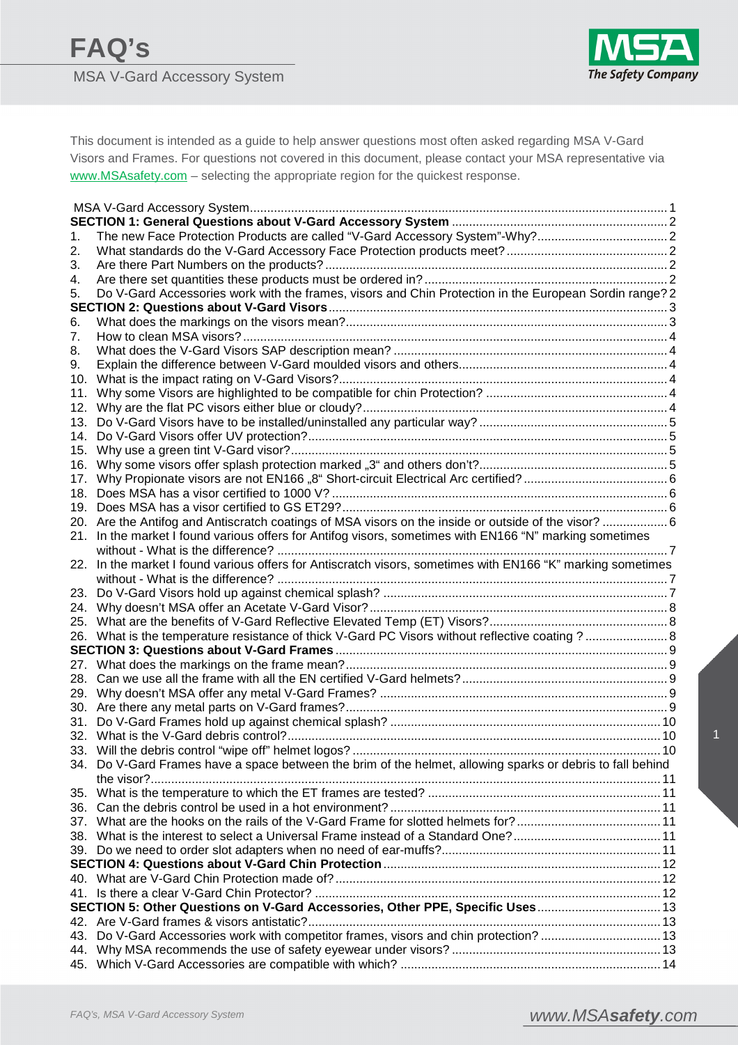

This document is intended as a guide to help answer questions most often asked regarding MSA V-Gard Visors and Frames. For questions not covered in this document, please contact your MSA representative via www.MSAsafety.com - selecting the appropriate region for the quickest response.

| 1.  | The new Face Protection Products are called "V-Gard Accessory System"-Why?2                                |  |  |  |  |  |
|-----|------------------------------------------------------------------------------------------------------------|--|--|--|--|--|
| 2.  |                                                                                                            |  |  |  |  |  |
| 3.  |                                                                                                            |  |  |  |  |  |
| 4.  |                                                                                                            |  |  |  |  |  |
| 5.  | Do V-Gard Accessories work with the frames, visors and Chin Protection in the European Sordin range? 2     |  |  |  |  |  |
|     |                                                                                                            |  |  |  |  |  |
| 6.  |                                                                                                            |  |  |  |  |  |
| 7.  |                                                                                                            |  |  |  |  |  |
| 8.  |                                                                                                            |  |  |  |  |  |
| 9.  |                                                                                                            |  |  |  |  |  |
| 10. |                                                                                                            |  |  |  |  |  |
| 11. |                                                                                                            |  |  |  |  |  |
| 12. |                                                                                                            |  |  |  |  |  |
| 13. |                                                                                                            |  |  |  |  |  |
| 14. |                                                                                                            |  |  |  |  |  |
| 15. |                                                                                                            |  |  |  |  |  |
| 16. |                                                                                                            |  |  |  |  |  |
| 17. |                                                                                                            |  |  |  |  |  |
| 18. |                                                                                                            |  |  |  |  |  |
|     |                                                                                                            |  |  |  |  |  |
|     | 20. Are the Antifog and Antiscratch coatings of MSA visors on the inside or outside of the visor? 6        |  |  |  |  |  |
| 21. | In the market I found various offers for Antifog visors, sometimes with EN166 "N" marking sometimes        |  |  |  |  |  |
|     |                                                                                                            |  |  |  |  |  |
| 22. | In the market I found various offers for Antiscratch visors, sometimes with EN166 "K" marking sometimes    |  |  |  |  |  |
|     |                                                                                                            |  |  |  |  |  |
| 23. |                                                                                                            |  |  |  |  |  |
| 24. |                                                                                                            |  |  |  |  |  |
|     |                                                                                                            |  |  |  |  |  |
|     | 26. What is the temperature resistance of thick V-Gard PC Visors without reflective coating ? 8            |  |  |  |  |  |
|     |                                                                                                            |  |  |  |  |  |
|     |                                                                                                            |  |  |  |  |  |
| 28. |                                                                                                            |  |  |  |  |  |
| 29. |                                                                                                            |  |  |  |  |  |
|     |                                                                                                            |  |  |  |  |  |
| 31. |                                                                                                            |  |  |  |  |  |
|     |                                                                                                            |  |  |  |  |  |
|     |                                                                                                            |  |  |  |  |  |
|     | 34. Do V-Gard Frames have a space between the brim of the helmet, allowing sparks or debris to fall behind |  |  |  |  |  |
|     |                                                                                                            |  |  |  |  |  |
| 35. |                                                                                                            |  |  |  |  |  |
|     |                                                                                                            |  |  |  |  |  |
|     |                                                                                                            |  |  |  |  |  |
|     |                                                                                                            |  |  |  |  |  |
|     |                                                                                                            |  |  |  |  |  |
|     |                                                                                                            |  |  |  |  |  |
|     |                                                                                                            |  |  |  |  |  |
|     |                                                                                                            |  |  |  |  |  |
|     | SECTION 5: Other Questions on V-Gard Accessories, Other PPE, Specific Uses 13                              |  |  |  |  |  |
|     |                                                                                                            |  |  |  |  |  |
| 43. | Do V-Gard Accessories work with competitor frames, visors and chin protection?  13                         |  |  |  |  |  |
|     |                                                                                                            |  |  |  |  |  |
|     |                                                                                                            |  |  |  |  |  |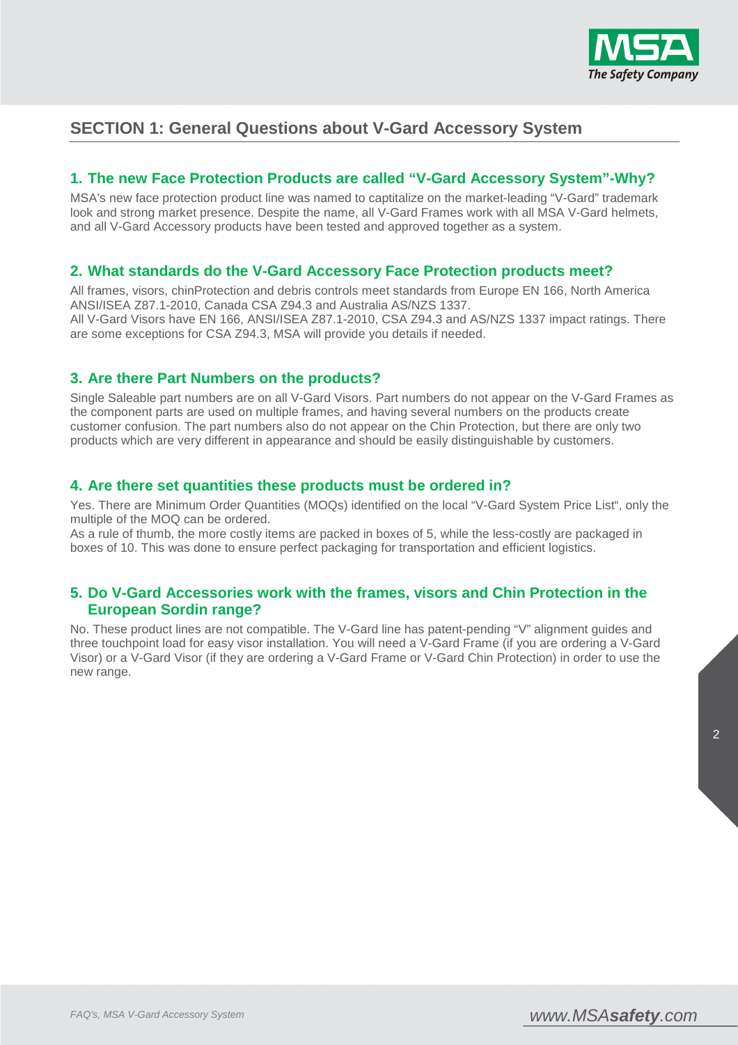

# **SECTION 1: General Questions about V-Gard Accessory System**

# **1. The new Face Protection Products are called "V-Gard Accessory System"-Why?**

MSA's new face protection product line was named to captitalize on the market-leading "V-Gard" trademark look and strong market presence. Despite the name, all V-Gard Frames work with all MSA V-Gard helmets, and all V-Gard Accessory products have been tested and approved together as a system.

### **2. What standards do the V-Gard Accessory Face Protection products meet?**

All frames, visors, chinProtection and debris controls meet standards from Europe EN 166, North America ANSI/ISEA Z87.1-2010, Canada CSA Z94.3 and Australia AS/NZS 1337. All V-Gard Visors have EN 166, ANSI/ISEA Z87.1-2010, CSA Z94.3 and AS/NZS 1337 impact ratings. There are some exceptions for CSA Z94.3, MSA will provide you details if needed.

### **3. Are there Part Numbers on the products?**

Single Saleable part numbers are on all V-Gard Visors. Part numbers do not appear on the V-Gard Frames as the component parts are used on multiple frames, and having several numbers on the products create customer confusion. The part numbers also do not appear on the Chin Protection, but there are only two products which are very different in appearance and should be easily distinguishable by customers.

#### **4. Are there set quantities these products must be ordered in?**

Yes. There are Minimum Order Quantities (MOQs) identified on the local "V-Gard System Price List", only the multiple of the MOQ can be ordered.

As a rule of thumb, the more costly items are packed in boxes of 5, while the less-costly are packaged in boxes of 10. This was done to ensure perfect packaging for transportation and efficient logistics.

### **5. Do V-Gard Accessories work with the frames, visors and Chin Protection in the European Sordin range?**

No. These product lines are not compatible. The V-Gard line has patent-pending "V" alignment guides and three touchpoint load for easy visor installation. You will need a V-Gard Frame (if you are ordering a V-Gard Visor) or a V-Gard Visor (if they are ordering a V-Gard Frame or V-Gard Chin Protection) in order to use the new range.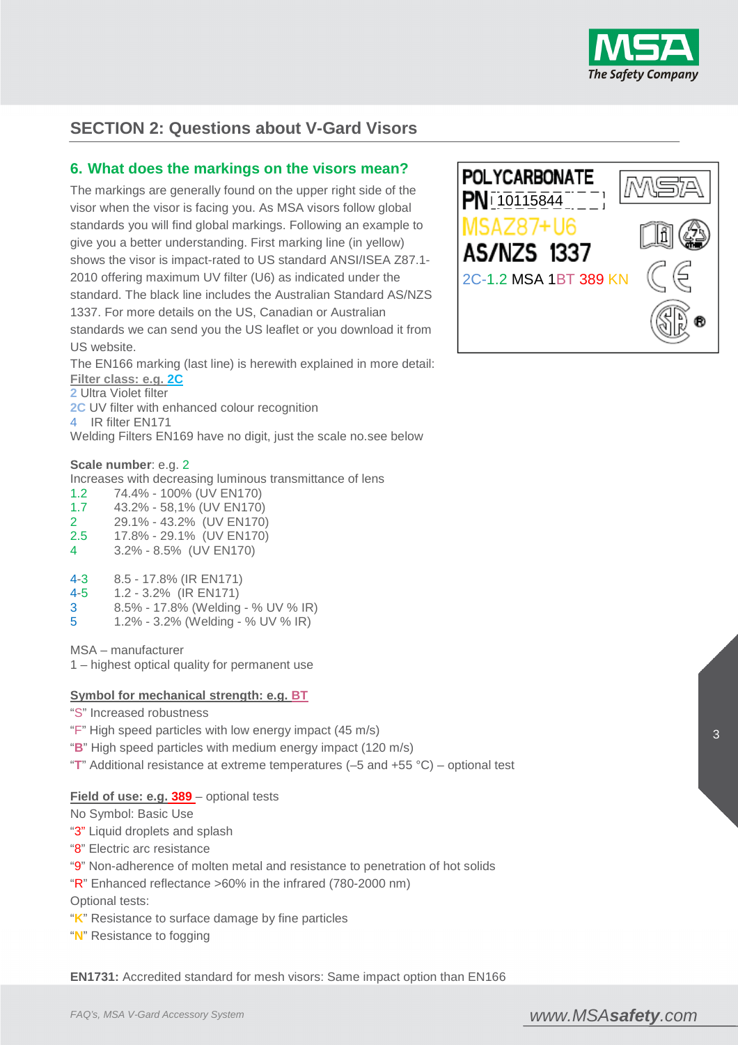

# **SECTION 2: Questions about V-Gard Visors**

#### **6. What does the markings on the visors mean?**

The markings are generally found on the upper right side of the visor when the visor is facing you. As MSA visors follow global standards you will find global markings. Following an example to give you a better understanding. First marking line (in yellow) shows the visor is impact-rated to US standard ANSI/ISEA Z87.1- 2010 offering maximum UV filter (U6) as indicated under the standard. The black line includes the Australian Standard AS/NZS 1337. For more details on the US, Canadian or Australian standards we can send you the US leaflet or you download it from US website.

The EN166 marking (last line) is herewith explained in more detail: **Filter class: e.g. 2C**

**2** Ultra Violet filter

**2C** UV filter with enhanced colour recognition

4 IR filter EN171

Welding Filters EN169 have no digit, just the scale no.see below

#### **Scale number**: e.g. 2

Increases with decreasing luminous transmittance of lens

- 1.2 74.4% 100% (UV EN170)
- 1.7 43.2% 58,1% (UV EN170)
- 2 29.1% 43.2% (UV EN170)
- 2.5 17.8% 29.1% (UV EN170)
- 4 3.2% 8.5% (UV EN170)
- 4-3 8.5 17.8% (IR EN171)
- 4-5 1.2 3.2% (IR EN171)
- 3 8.5% 17.8% (Welding % UV % IR)
- 5 1.2% 3.2% (Welding % UV % IR)

MSA – manufacturer

1 – highest optical quality for permanent use

#### **Symbol for mechanical strength: e.g. BT**

- "S" Increased robustness
- "F" High speed particles with low energy impact (45 m/s)
- "**B**" High speed particles with medium energy impact (120 m/s)
- "**T**" Additional resistance at extreme temperatures (–5 and +55 °C) optional test

#### **Field of use: e.g. 389** – optional tests

No Symbol: Basic Use

- "3" Liquid droplets and splash
- "8" Electric arc resistance
- "9" Non-adherence of molten metal and resistance to penetration of hot solids
- " $R$ " Enhanced reflectance >60% in the infrared (780-2000 nm)

Optional tests:

- "**K**" Resistance to surface damage by fine particles
- "**N**" Resistance to fogging

**EN1731:** Accredited standard for mesh visors: Same impact option than EN166

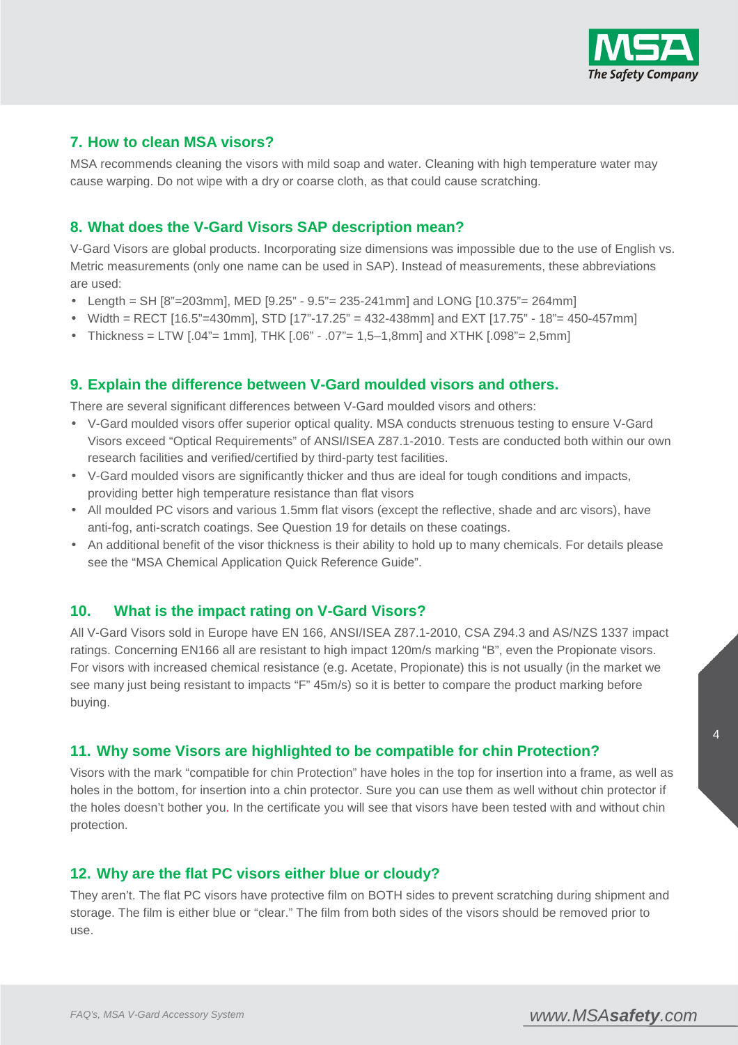

# **7. How to clean MSA visors?**

MSA recommends cleaning the visors with mild soap and water. Cleaning with high temperature water may cause warping. Do not wipe with a dry or coarse cloth, as that could cause scratching.

## **8. What does the V-Gard Visors SAP description mean?**

V-Gard Visors are global products. Incorporating size dimensions was impossible due to the use of English vs. Metric measurements (only one name can be used in SAP). Instead of measurements, these abbreviations are used:

- Length = SH [8"=203mm], MED [9.25" 9.5" = 235-241mm] and LONG [10.375" = 264mm]
- Width = RECT [16.5"=430mm], STD [17"-17.25" = 432-438mm] and EXT [17.75" 18"= 450-457mm]
- Thickness = LTW  $[.04"$  = 1mm], THK  $[.06" .07"$  = 1,5–1,8mm] and XTHK  $[.098"$  = 2,5mm]

### **9. Explain the difference between V-Gard moulded visors and others.**

There are several significant differences between V-Gard moulded visors and others:

- V-Gard moulded visors offer superior optical quality. MSA conducts strenuous testing to ensure V-Gard Visors exceed "Optical Requirements" of ANSI/ISEA Z87.1-2010. Tests are conducted both within our own research facilities and verified/certified by third-party test facilities.
- V-Gard moulded visors are significantly thicker and thus are ideal for tough conditions and impacts, providing better high temperature resistance than flat visors
- All moulded PC visors and various 1.5mm flat visors (except the reflective, shade and arc visors), have anti-fog, anti-scratch coatings. See Question 19 for details on these coatings.
- An additional benefit of the visor thickness is their ability to hold up to many chemicals. For details please see the "MSA Chemical Application Quick Reference Guide".

#### **10. What is the impact rating on V-Gard Visors?**

All V-Gard Visors sold in Europe have EN 166, ANSI/ISEA Z87.1-2010, CSA Z94.3 and AS/NZS 1337 impact ratings. Concerning EN166 all are resistant to high impact 120m/s marking "B", even the Propionate visors. For visors with increased chemical resistance (e.g. Acetate, Propionate) this is not usually (in the market we see many just being resistant to impacts "F" 45m/s) so it is better to compare the product marking before buying.

#### **11. Why some Visors are highlighted to be compatible for chin Protection?**

Visors with the mark "compatible for chin Protection" have holes in the top for insertion into a frame, as well as holes in the bottom, for insertion into a chin protector. Sure you can use them as well without chin protector if the holes doesn't bother you. In the certificate you will see that visors have been tested with and without chin protection.

#### **12. Why are the flat PC visors either blue or cloudy?**

They aren't. The flat PC visors have protective film on BOTH sides to prevent scratching during shipment and storage. The film is either blue or "clear." The film from both sides of the visors should be removed prior to use.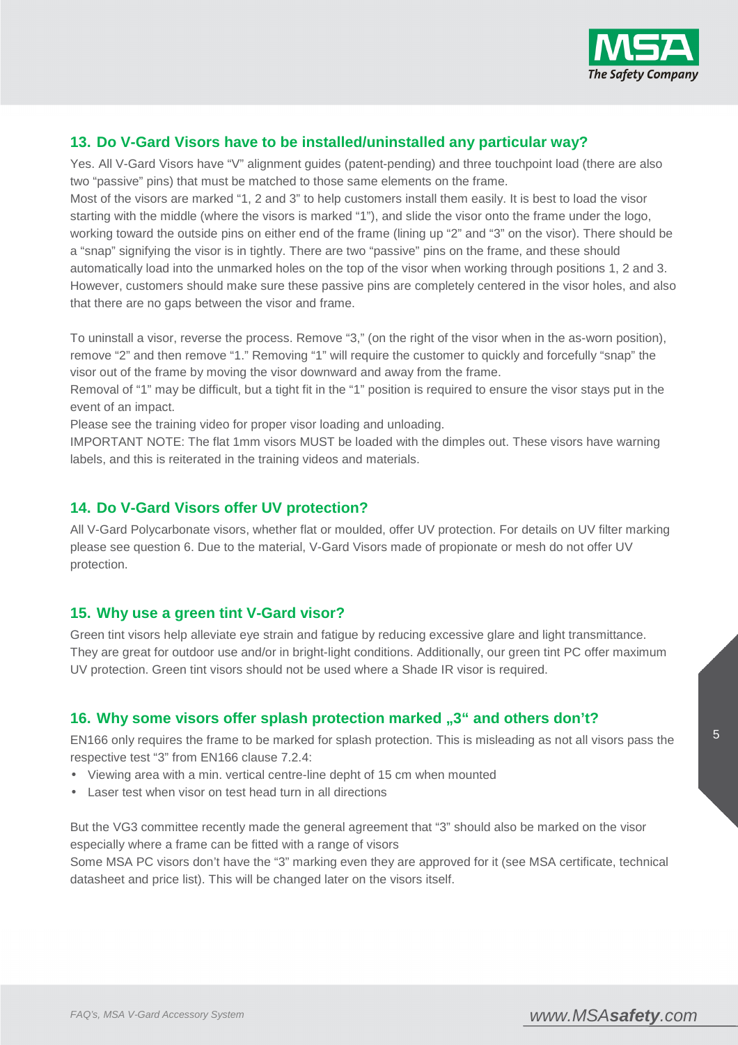

# **13. Do V-Gard Visors have to be installed/uninstalled any particular way?**

Yes. All V-Gard Visors have "V" alignment guides (patent-pending) and three touchpoint load (there are also two "passive" pins) that must be matched to those same elements on the frame.

Most of the visors are marked "1, 2 and 3" to help customers install them easily. It is best to load the visor starting with the middle (where the visors is marked "1"), and slide the visor onto the frame under the logo, working toward the outside pins on either end of the frame (lining up "2" and "3" on the visor). There should be a "snap" signifying the visor is in tightly. There are two "passive" pins on the frame, and these should automatically load into the unmarked holes on the top of the visor when working through positions 1, 2 and 3. However, customers should make sure these passive pins are completely centered in the visor holes, and also that there are no gaps between the visor and frame.

To uninstall a visor, reverse the process. Remove "3," (on the right of the visor when in the as-worn position), remove "2" and then remove "1." Removing "1" will require the customer to quickly and forcefully "snap" the visor out of the frame by moving the visor downward and away from the frame.

Removal of "1" may be difficult, but a tight fit in the "1" position is required to ensure the visor stays put in the event of an impact.

Please see the training video for proper visor loading and unloading.

IMPORTANT NOTE: The flat 1mm visors MUST be loaded with the dimples out. These visors have warning labels, and this is reiterated in the training videos and materials.

### **14. Do V-Gard Visors offer UV protection?**

All V-Gard Polycarbonate visors, whether flat or moulded, offer UV protection. For details on UV filter marking please see question 6. Due to the material, V-Gard Visors made of propionate or mesh do not offer UV protection.

#### **15. Why use a green tint V-Gard visor?**

Green tint visors help alleviate eye strain and fatigue by reducing excessive glare and light transmittance. They are great for outdoor use and/or in bright-light conditions. Additionally, our green tint PC offer maximum UV protection. Green tint visors should not be used where a Shade IR visor is required.

# 16. Why some visors offer splash protection marked "3" and others don't?

EN166 only requires the frame to be marked for splash protection. This is misleading as not all visors pass the respective test "3" from EN166 clause 7.2.4:

- Viewing area with a min. vertical centre-line depht of 15 cm when mounted
- Laser test when visor on test head turn in all directions

But the VG3 committee recently made the general agreement that "3" should also be marked on the visor especially where a frame can be fitted with a range of visors

Some MSA PC visors don't have the "3" marking even they are approved for it (see MSA certificate, technical datasheet and price list). This will be changed later on the visors itself.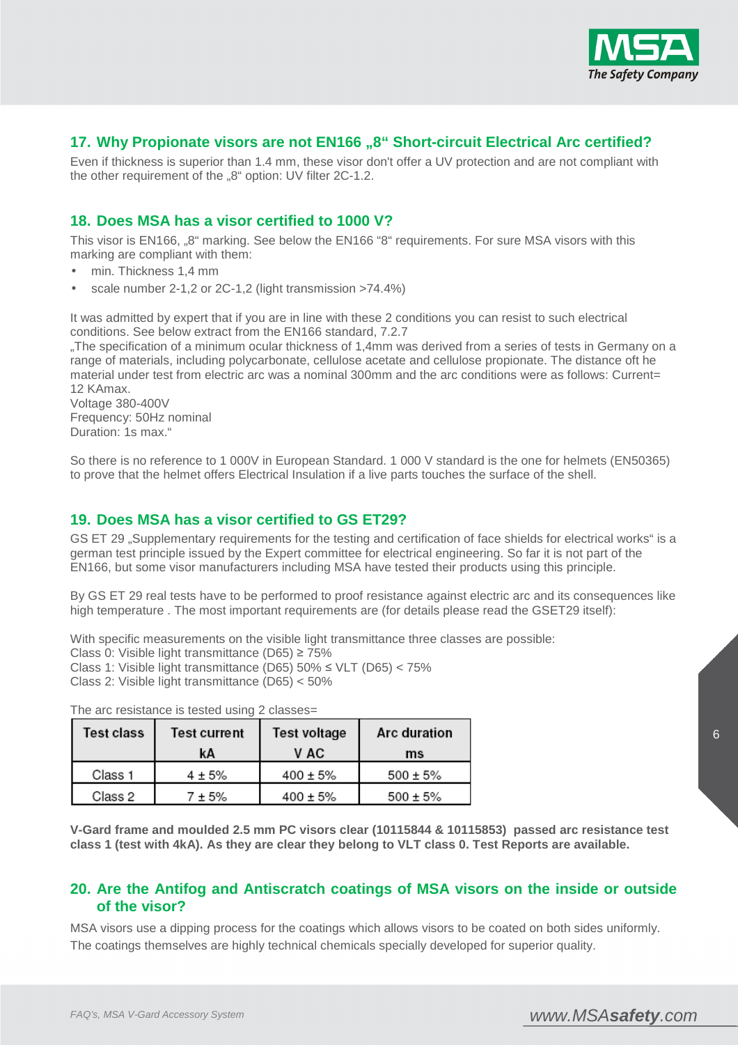

## 17. Why Propionate visors are not EN166 "8" Short-circuit Electrical Arc certified?

Even if thickness is superior than 1.4 mm, these visor don't offer a UV protection and are not compliant with the other requirement of the "8" option: UV filter 2C-1.2.

## **18. Does MSA has a visor certified to 1000 V?**

This visor is EN166, "8" marking. See below the EN166 "8" requirements. For sure MSA visors with this marking are compliant with them:

- min. Thickness 1,4 mm
- scale number 2-1,2 or 2C-1,2 (light transmission >74.4%)

It was admitted by expert that if you are in line with these 2 conditions you can resist to such electrical conditions. See below extract from the EN166 standard, 7.2.7

"The specification of a minimum ocular thickness of 1,4mm was derived from a series of tests in Germany on a range of materials, including polycarbonate, cellulose acetate and cellulose propionate. The distance oft he material under test from electric arc was a nominal 300mm and the arc conditions were as follows: Current= 12 KAmax.

Voltage 380-400V Frequency: 50Hz nominal Duration: 1s max."

So there is no reference to 1 000V in European Standard. 1 000 V standard is the one for helmets (EN50365) to prove that the helmet offers Electrical Insulation if a live parts touches the surface of the shell.

#### **19. Does MSA has a visor certified to GS ET29?**

GS ET 29 . Supplementary requirements for the testing and certification of face shields for electrical works" is a german test principle issued by the Expert committee for electrical engineering. So far it is not part of the EN166, but some visor manufacturers including MSA have tested their products using this principle.

By GS ET 29 real tests have to be performed to proof resistance against electric arc and its consequences like high temperature . The most important requirements are (for details please read the GSET29 itself):

With specific measurements on the visible light transmittance three classes are possible: Class 0: Visible light transmittance (D65) ≥ 75%

Class 1: Visible light transmittance (D65) 50% ≤ VLT (D65) < 75%

Class 2: Visible light transmittance (D65) < 50%

| Test class | Test current | Test voltage  | Arc duration  |
|------------|--------------|---------------|---------------|
|            | kА           | V AC          | ms            |
| Class 1    | $4 + 5%$     | $400 \pm 5\%$ | $500 \pm 5\%$ |
| Class 2    | ± 5%         | $400 \pm 5\%$ | $500 \pm 5\%$ |

The arc resistance is tested using 2 classes=

**V-Gard frame and moulded 2.5 mm PC visors clear (10115844 & 10115853) passed arc resistance test class 1 (test with 4kA). As they are clear they belong to VLT class 0. Test Reports are available.** 

#### **20. Are the Antifog and Antiscratch coatings of MSA visors on the inside or outside of the visor?**

MSA visors use a dipping process for the coatings which allows visors to be coated on both sides uniformly. The coatings themselves are highly technical chemicals specially developed for superior quality.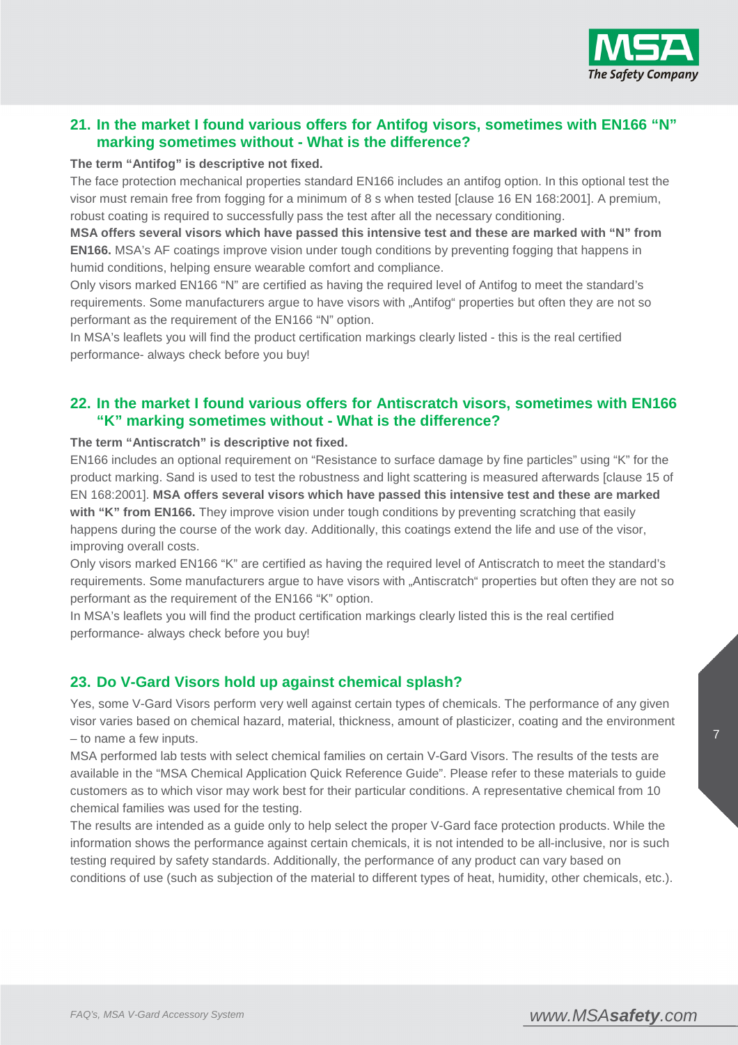

# **21. In the market I found various offers for Antifog visors, sometimes with EN166 "N" marking sometimes without - What is the difference?**

#### **The term "Antifog" is descriptive not fixed.**

The face protection mechanical properties standard EN166 includes an antifog option. In this optional test the visor must remain free from fogging for a minimum of 8 s when tested [clause 16 EN 168:2001]. A premium, robust coating is required to successfully pass the test after all the necessary conditioning.

**MSA offers several visors which have passed this intensive test and these are marked with "N" from EN166.** MSA's AF coatings improve vision under tough conditions by preventing fogging that happens in humid conditions, helping ensure wearable comfort and compliance.

Only visors marked EN166 "N" are certified as having the required level of Antifog to meet the standard's requirements. Some manufacturers argue to have visors with "Antifog" properties but often they are not so performant as the requirement of the EN166 "N" option.

In MSA's leaflets you will find the product certification markings clearly listed - this is the real certified performance- always check before you buy!

# **22. In the market I found various offers for Antiscratch visors, sometimes with EN166 "K" marking sometimes without - What is the difference?**

#### **The term "Antiscratch" is descriptive not fixed.**

EN166 includes an optional requirement on "Resistance to surface damage by fine particles" using "K" for the product marking. Sand is used to test the robustness and light scattering is measured afterwards [clause 15 of EN 168:2001]. **MSA offers several visors which have passed this intensive test and these are marked with "K" from EN166.** They improve vision under tough conditions by preventing scratching that easily happens during the course of the work day. Additionally, this coatings extend the life and use of the visor, improving overall costs.

Only visors marked EN166 "K" are certified as having the required level of Antiscratch to meet the standard's requirements. Some manufacturers argue to have visors with "Antiscratch" properties but often they are not so performant as the requirement of the EN166 "K" option.

In MSA's leaflets you will find the product certification markings clearly listed this is the real certified performance- always check before you buy!

#### **23. Do V-Gard Visors hold up against chemical splash?**

Yes, some V-Gard Visors perform very well against certain types of chemicals. The performance of any given visor varies based on chemical hazard, material, thickness, amount of plasticizer, coating and the environment – to name a few inputs.

MSA performed lab tests with select chemical families on certain V-Gard Visors. The results of the tests are available in the "MSA Chemical Application Quick Reference Guide". Please refer to these materials to guide customers as to which visor may work best for their particular conditions. A representative chemical from 10 chemical families was used for the testing.

The results are intended as a guide only to help select the proper V-Gard face protection products. While the information shows the performance against certain chemicals, it is not intended to be all-inclusive, nor is such testing required by safety standards. Additionally, the performance of any product can vary based on conditions of use (such as subjection of the material to different types of heat, humidity, other chemicals, etc.).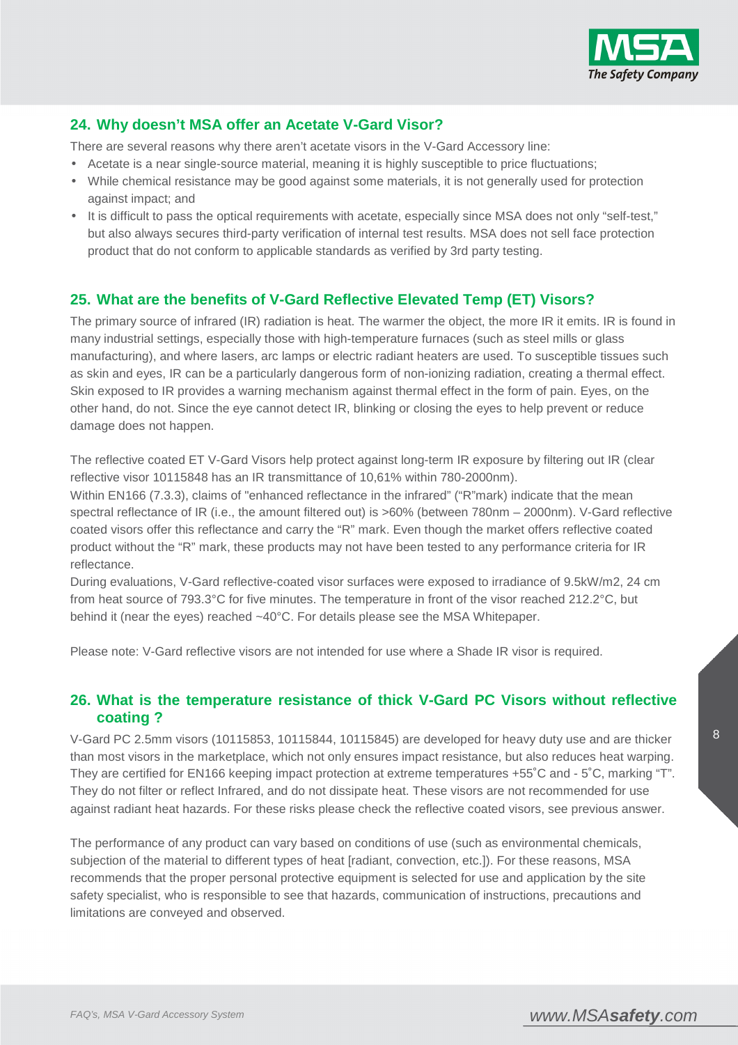

# **24. Why doesn't MSA offer an Acetate V-Gard Visor?**

There are several reasons why there aren't acetate visors in the V-Gard Accessory line:

- Acetate is a near single-source material, meaning it is highly susceptible to price fluctuations;
- While chemical resistance may be good against some materials, it is not generally used for protection against impact; and
- It is difficult to pass the optical requirements with acetate, especially since MSA does not only "self-test," but also always secures third-party verification of internal test results. MSA does not sell face protection product that do not conform to applicable standards as verified by 3rd party testing.

# **25. What are the benefits of V-Gard Reflective Elevated Temp (ET) Visors?**

The primary source of infrared (IR) radiation is heat. The warmer the object, the more IR it emits. IR is found in many industrial settings, especially those with high-temperature furnaces (such as steel mills or glass manufacturing), and where lasers, arc lamps or electric radiant heaters are used. To susceptible tissues such as skin and eyes, IR can be a particularly dangerous form of non-ionizing radiation, creating a thermal effect. Skin exposed to IR provides a warning mechanism against thermal effect in the form of pain. Eyes, on the other hand, do not. Since the eye cannot detect IR, blinking or closing the eyes to help prevent or reduce damage does not happen.

The reflective coated ET V-Gard Visors help protect against long-term IR exposure by filtering out IR (clear reflective visor 10115848 has an IR transmittance of 10,61% within 780-2000nm).

Within EN166 (7.3.3), claims of "enhanced reflectance in the infrared" ("R"mark) indicate that the mean spectral reflectance of IR (i.e., the amount filtered out) is >60% (between 780nm – 2000nm). V-Gard reflective coated visors offer this reflectance and carry the "R" mark. Even though the market offers reflective coated product without the "R" mark, these products may not have been tested to any performance criteria for IR reflectance.

During evaluations, V-Gard reflective-coated visor surfaces were exposed to irradiance of 9.5kW/m2, 24 cm from heat source of 793.3°C for five minutes. The temperature in front of the visor reached 212.2°C, but behind it (near the eyes) reached ~40°C. For details please see the MSA Whitepaper.

Please note: V-Gard reflective visors are not intended for use where a Shade IR visor is required.

### **26. What is the temperature resistance of thick V-Gard PC Visors without reflective coating ?**

V-Gard PC 2.5mm visors (10115853, 10115844, 10115845) are developed for heavy duty use and are thicker than most visors in the marketplace, which not only ensures impact resistance, but also reduces heat warping. They are certified for EN166 keeping impact protection at extreme temperatures +55˚C and - 5˚C, marking "T". They do not filter or reflect Infrared, and do not dissipate heat. These visors are not recommended for use against radiant heat hazards. For these risks please check the reflective coated visors, see previous answer.

The performance of any product can vary based on conditions of use (such as environmental chemicals, subjection of the material to different types of heat [radiant, convection, etc.]). For these reasons, MSA recommends that the proper personal protective equipment is selected for use and application by the site safety specialist, who is responsible to see that hazards, communication of instructions, precautions and limitations are conveyed and observed.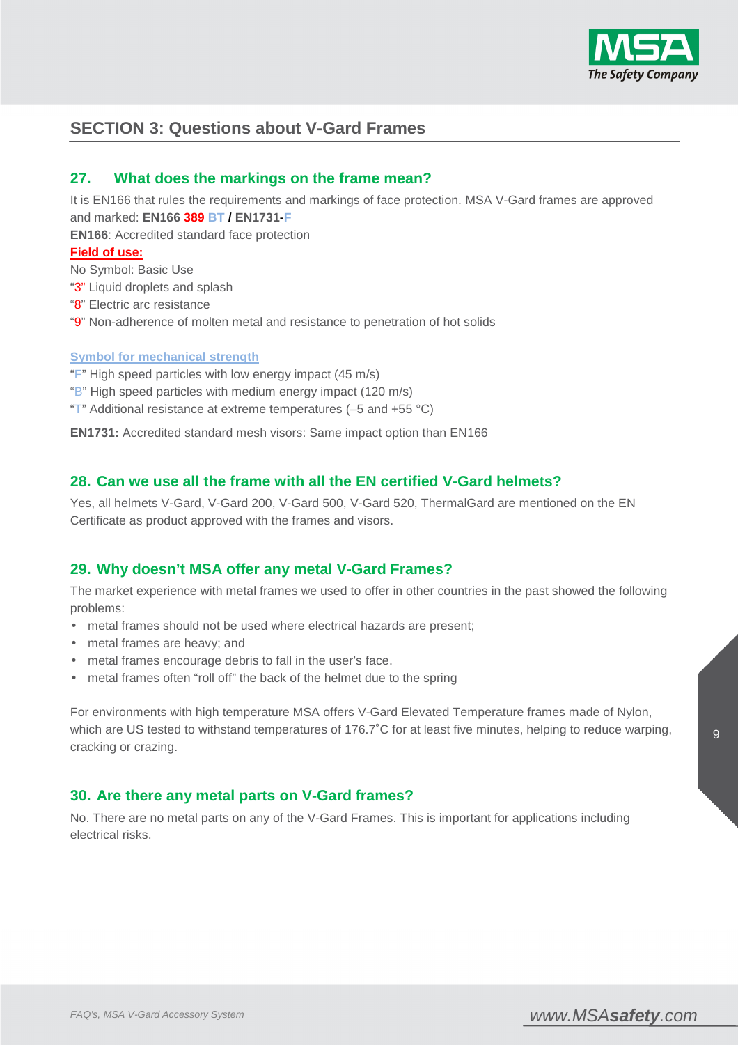

# **SECTION 3: Questions about V-Gard Frames**

## **27. What does the markings on the frame mean?**

It is EN166 that rules the requirements and markings of face protection. MSA V-Gard frames are approved and marked: **EN166 389 BT / EN1731-F**

**EN166**: Accredited standard face protection

#### **Field of use:**

No Symbol: Basic Use

"3" Liquid droplets and splash

- "8" Electric arc resistance
- "9" Non-adherence of molten metal and resistance to penetration of hot solids

#### **Symbol for mechanical strength**

"F" High speed particles with low energy impact (45 m/s)

- "B" High speed particles with medium energy impact (120 m/s)
- "T" Additional resistance at extreme temperatures  $(-5 \text{ and } +55 \text{ °C})$

**EN1731:** Accredited standard mesh visors: Same impact option than EN166

#### **28. Can we use all the frame with all the EN certified V-Gard helmets?**

Yes, all helmets V-Gard, V-Gard 200, V-Gard 500, V-Gard 520, ThermalGard are mentioned on the EN Certificate as product approved with the frames and visors.

#### **29. Why doesn't MSA offer any metal V-Gard Frames?**

The market experience with metal frames we used to offer in other countries in the past showed the following problems:

- metal frames should not be used where electrical hazards are present;
- metal frames are heavy; and
- metal frames encourage debris to fall in the user's face.
- metal frames often "roll off" the back of the helmet due to the spring

For environments with high temperature MSA offers V-Gard Elevated Temperature frames made of Nylon, which are US tested to withstand temperatures of 176.7°C for at least five minutes, helping to reduce warping, cracking or crazing.

#### **30. Are there any metal parts on V-Gard frames?**

No. There are no metal parts on any of the V-Gard Frames. This is important for applications including electrical risks.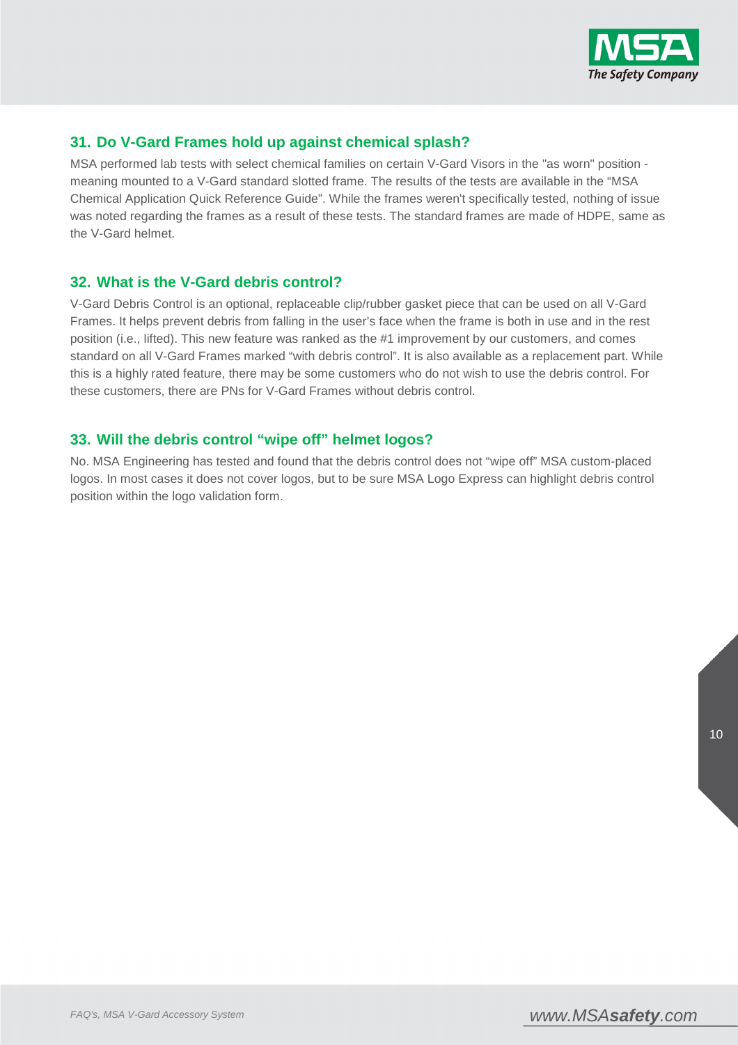

# **31. Do V-Gard Frames hold up against chemical splash?**

MSA performed lab tests with select chemical families on certain V-Gard Visors in the "as worn" position meaning mounted to a V-Gard standard slotted frame. The results of the tests are available in the "MSA Chemical Application Quick Reference Guide". While the frames weren't specifically tested, nothing of issue was noted regarding the frames as a result of these tests. The standard frames are made of HDPE, same as the V-Gard helmet.

#### **32. What is the V-Gard debris control?**

V-Gard Debris Control is an optional, replaceable clip/rubber gasket piece that can be used on all V-Gard Frames. It helps prevent debris from falling in the user's face when the frame is both in use and in the rest position (i.e., lifted). This new feature was ranked as the #1 improvement by our customers, and comes standard on all V-Gard Frames marked "with debris control". It is also available as a replacement part. While this is a highly rated feature, there may be some customers who do not wish to use the debris control. For these customers, there are PNs for V-Gard Frames without debris control.

# **33. Will the debris control "wipe off" helmet logos?**

No. MSA Engineering has tested and found that the debris control does not "wipe off" MSA custom-placed logos. In most cases it does not cover logos, but to be sure MSA Logo Express can highlight debris control position within the logo validation form.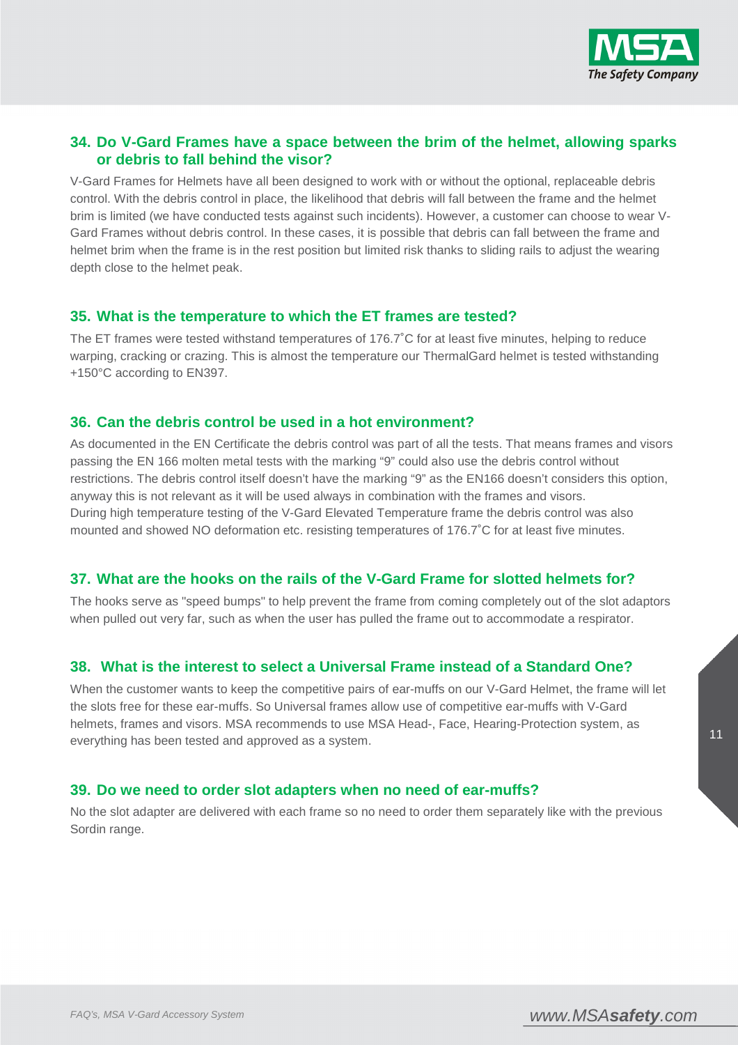

# **34. Do V-Gard Frames have a space between the brim of the helmet, allowing sparks or debris to fall behind the visor?**

V-Gard Frames for Helmets have all been designed to work with or without the optional, replaceable debris control. With the debris control in place, the likelihood that debris will fall between the frame and the helmet brim is limited (we have conducted tests against such incidents). However, a customer can choose to wear V-Gard Frames without debris control. In these cases, it is possible that debris can fall between the frame and helmet brim when the frame is in the rest position but limited risk thanks to sliding rails to adjust the wearing depth close to the helmet peak.

## **35. What is the temperature to which the ET frames are tested?**

The ET frames were tested withstand temperatures of 176.7˚C for at least five minutes, helping to reduce warping, cracking or crazing. This is almost the temperature our ThermalGard helmet is tested withstanding +150°C according to EN397.

### **36. Can the debris control be used in a hot environment?**

As documented in the EN Certificate the debris control was part of all the tests. That means frames and visors passing the EN 166 molten metal tests with the marking "9" could also use the debris control without restrictions. The debris control itself doesn't have the marking "9" as the EN166 doesn't considers this option, anyway this is not relevant as it will be used always in combination with the frames and visors. During high temperature testing of the V-Gard Elevated Temperature frame the debris control was also mounted and showed NO deformation etc. resisting temperatures of 176.7˚C for at least five minutes.

# **37. What are the hooks on the rails of the V-Gard Frame for slotted helmets for?**

The hooks serve as "speed bumps" to help prevent the frame from coming completely out of the slot adaptors when pulled out very far, such as when the user has pulled the frame out to accommodate a respirator.

# **38. What is the interest to select a Universal Frame instead of a Standard One?**

When the customer wants to keep the competitive pairs of ear-muffs on our V-Gard Helmet, the frame will let the slots free for these ear-muffs. So Universal frames allow use of competitive ear-muffs with V-Gard helmets, frames and visors. MSA recommends to use MSA Head-, Face, Hearing-Protection system, as everything has been tested and approved as a system.

# **39. Do we need to order slot adapters when no need of ear-muffs?**

No the slot adapter are delivered with each frame so no need to order them separately like with the previous Sordin range.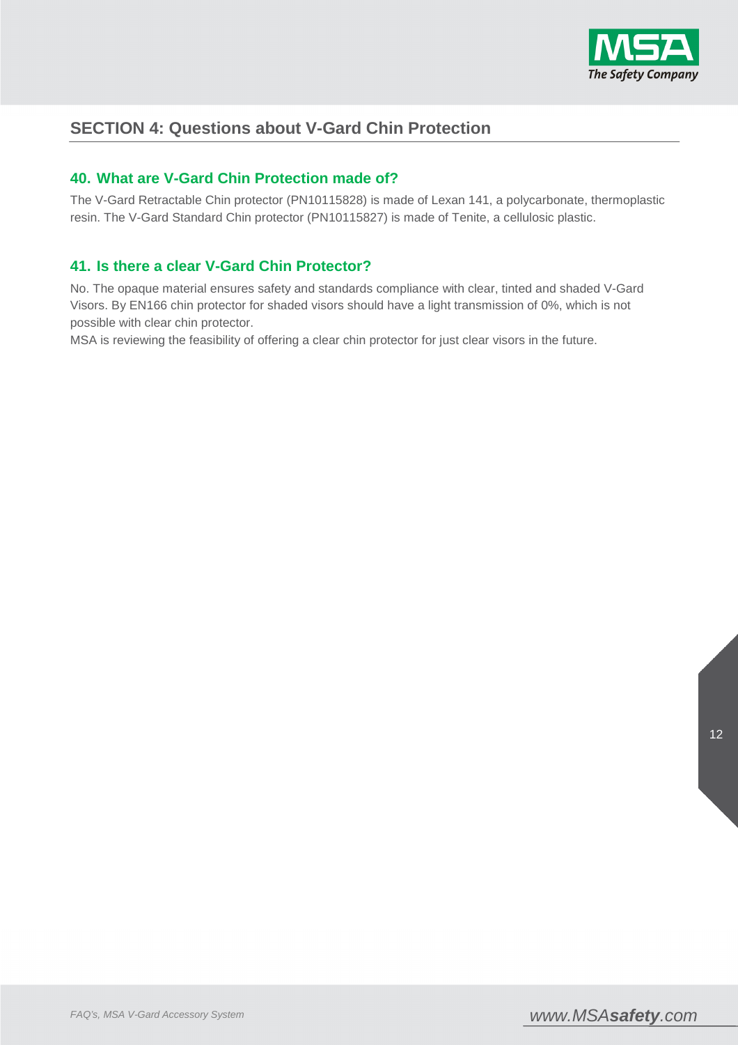

# **SECTION 4: Questions about V-Gard Chin Protection**

# **40. What are V-Gard Chin Protection made of?**

The V-Gard Retractable Chin protector (PN10115828) is made of Lexan 141, a polycarbonate, thermoplastic resin. The V-Gard Standard Chin protector (PN10115827) is made of Tenite, a cellulosic plastic.

# **41. Is there a clear V-Gard Chin Protector?**

No. The opaque material ensures safety and standards compliance with clear, tinted and shaded V-Gard Visors. By EN166 chin protector for shaded visors should have a light transmission of 0%, which is not possible with clear chin protector.

MSA is reviewing the feasibility of offering a clear chin protector for just clear visors in the future.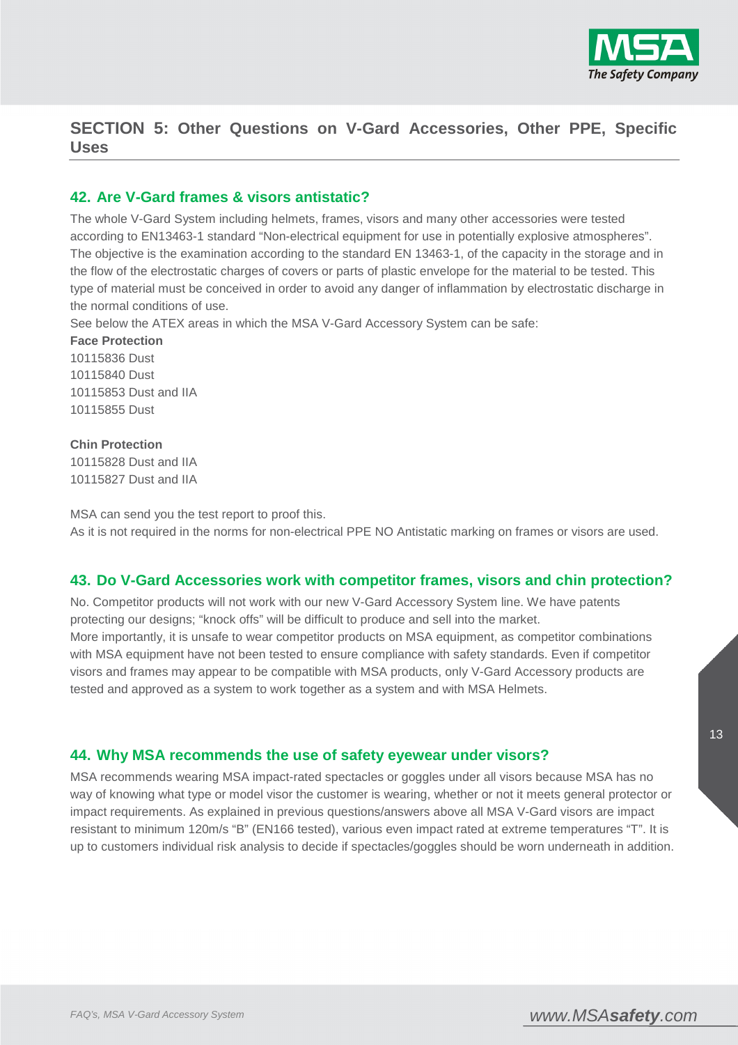

# **SECTION 5: Other Questions on V-Gard Accessories, Other PPE, Specific Uses**

#### **42. Are V-Gard frames & visors antistatic?**

The whole V-Gard System including helmets, frames, visors and many other accessories were tested according to EN13463-1 standard "Non-electrical equipment for use in potentially explosive atmospheres". The objective is the examination according to the standard EN 13463-1, of the capacity in the storage and in the flow of the electrostatic charges of covers or parts of plastic envelope for the material to be tested. This type of material must be conceived in order to avoid any danger of inflammation by electrostatic discharge in the normal conditions of use.

See below the ATEX areas in which the MSA V-Gard Accessory System can be safe:

**Face Protection**  10115836 Dust 10115840 Dust 10115853 Dust and IIA 10115855 Dust

#### **Chin Protection**

10115828 Dust and IIA 10115827 Dust and IIA

MSA can send you the test report to proof this. As it is not required in the norms for non-electrical PPE NO Antistatic marking on frames or visors are used.

# **43. Do V-Gard Accessories work with competitor frames, visors and chin protection?**

No. Competitor products will not work with our new V-Gard Accessory System line. We have patents protecting our designs; "knock offs" will be difficult to produce and sell into the market. More importantly, it is unsafe to wear competitor products on MSA equipment, as competitor combinations with MSA equipment have not been tested to ensure compliance with safety standards. Even if competitor visors and frames may appear to be compatible with MSA products, only V-Gard Accessory products are tested and approved as a system to work together as a system and with MSA Helmets.

# **44. Why MSA recommends the use of safety eyewear under visors?**

MSA recommends wearing MSA impact-rated spectacles or goggles under all visors because MSA has no way of knowing what type or model visor the customer is wearing, whether or not it meets general protector or impact requirements. As explained in previous questions/answers above all MSA V-Gard visors are impact resistant to minimum 120m/s "B" (EN166 tested), various even impact rated at extreme temperatures "T". It is up to customers individual risk analysis to decide if spectacles/goggles should be worn underneath in addition.